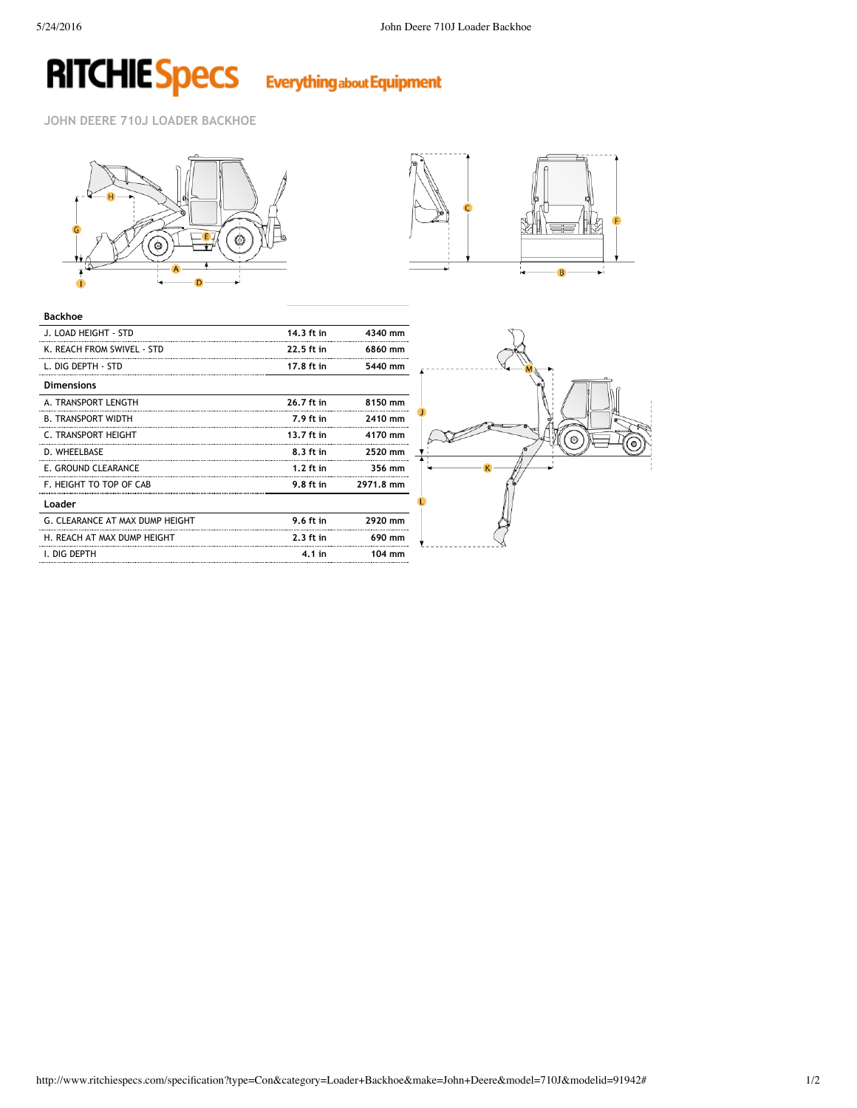# **RITCHIE Specs** Everything about Equipment

**JOHN DEERE 710J LOADER BACKHOE**





| <b>Backhoe</b>                  |             |                  |
|---------------------------------|-------------|------------------|
| J. LOAD HEIGHT - STD            | 14.3 ft in  | 4340 mm          |
| K. REACH FROM SWIVEL - STD      | 22.5 ft in  | 6860 mm          |
| L. DIG DEPTH - STD              | 17.8 ft in  | 5440 mm          |
| <b>Dimensions</b>               |             |                  |
| A. TRANSPORT LENGTH             | 26.7 ft in  | 8150 mm          |
| <b>B. TRANSPORT WIDTH</b>       | 7.9 ft in   | 2410 mm          |
| C. TRANSPORT HEIGHT             | 13.7 ft in  | 4170 mm          |
| D. WHEELBASE                    | 8.3 ft in   | 2520 mm          |
| E. GROUND CLEARANCE             | $1.2$ ft in | 356 mm           |
| F. HEIGHT TO TOP OF CAB         | 9.8 ft in   | 2971.8 mm        |
| Loader                          |             |                  |
| G. CLEARANCE AT MAX DUMP HEIGHT | 9.6 ft in   | 2920 mm          |
| H. REACH AT MAX DUMP HEIGHT     | $2.3$ ft in | 690 mm           |
| I. DIG DEPTH                    | $4.1$ in    | $104 \text{ mm}$ |